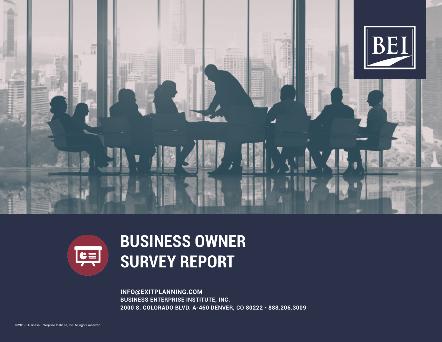



# **BUSINESS OWNER SURVEY REPORT**

**INFO@EXITPLANNING.COM BUSINESS ENTERPRISE INSTITUTE, INC. 2000 S. COLORADO BLVD. A-460 DENVER, CO 80222 • 888.206.3009**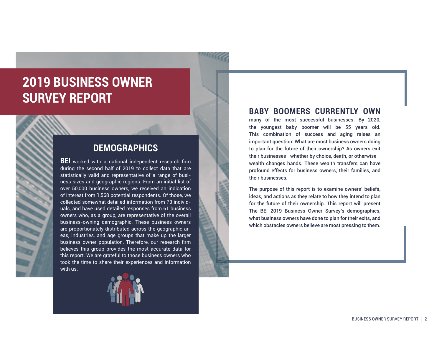## **2019 BUSINESS OWNER SURVEY REPORT**

### **DEMOGRAPHICS**

**BEI** worked with a national independent research firm during the second half of 2019 to collect data that are statistically valid and representative of a range of business sizes and geographic regions. From an initial list of over 50,000 business owners, we received an indication of interest from 1,568 potential respondents. Of those, we collected somewhat detailed information from 73 individuals, and have used detailed responses from 61 business owners who, as a group, are representative of the overall business-owning demographic. These business owners are proportionately distributed across the geographic areas, industries, and age groups that make up the larger business owner population. Therefore, our research firm believes this group provides the most accurate data for this report. We are grateful to those business owners who took the time to share their experiences and information with us.



#### **BABY BOOMERS CURRENTLY OWN**

many of the most successful businesses. By 2020, the youngest baby boomer will be 55 years old. This combination of success and aging raises an important question: What are most business owners doing to plan for the future of their ownership? As owners exit their businesses—whether by choice, death, or otherwise wealth changes hands. These wealth transfers can have profound effects for business owners, their families, and their businesses.

The purpose of this report is to examine owners' beliefs, ideas, and actions as they relate to how they intend to plan for the future of their ownership. This report will present The BEI 2019 Business Owner Survey's demographics, what business owners have done to plan for their exits, and which obstacles owners believe are most pressing to them.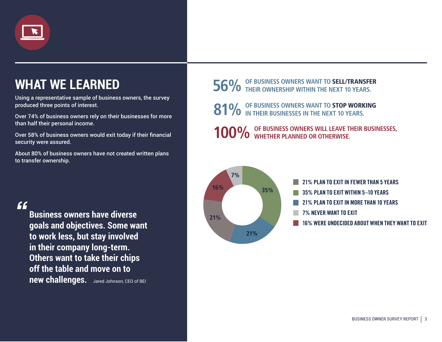

# **WHAT WE LEARNED**

Using a representative sample of business owners, the survey produced three points of interest.

Over 74% of business owners rely on their businesses for more than half their personal income.

Over 58% of business owners would exit today if their financial security were assured.

About 80% of business owners have not created written plans to transfer ownership.

*"*

**Business owners have diverse goals and objectives. Some want to work less, but stay involved in their company long-term. Others want to take their chips off the table and move on to new challenges.** Jared Johnson, CEO of BEI

# **56% OF BUSINESS OWNERS WANT TO** SELL/TRANSFER **THEIR OWNERSHIP WITHIN THE NEXT 10 YEARS.**

**81%** OF BUSINESS OWNERS WANT TO **STOP WORKING** 

**100%** OF BUSINESS OWNERS WILL LEAVE THEIR BUSINESSES, WHETHER PLANNED OR OTHERWISE.

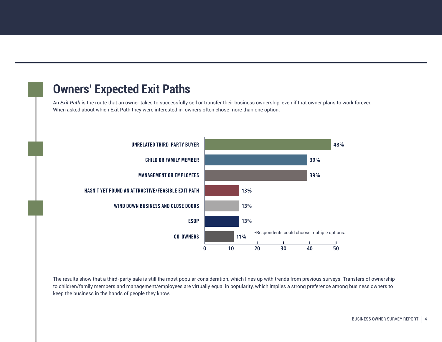### **Owners' Expected Exit Paths**

An *Exit Path* is the route that an owner takes to successfully sell or transfer their business ownership, even if that owner plans to work forever. When asked about which Exit Path they were interested in, owners often chose more than one option.



The results show that a third-party sale is still the most popular consideration, which lines up with trends from previous surveys. Transfers of ownership to children/family members and management/employees are virtually equal in popularity, which implies a strong preference among business owners to keep the business in the hands of people they know.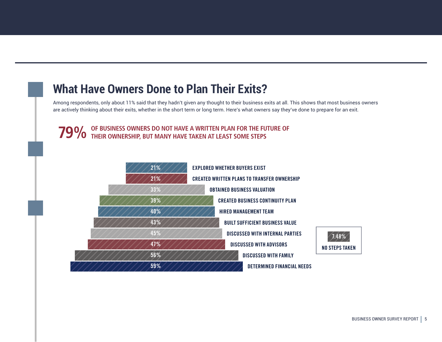### **What Have Owners Done to Plan Their Exits?**

Among respondents, only about 11% said that they hadn't given any thought to their business exits at all. This shows that most business owners are actively thinking about their exits, whether in the short term or long term. Here's what owners say they've done to prepare for an exit.

**79% OF BUSINESS OWNERS DO NOT HAVE A WRITTEN PLAN FOR THE FUTURE OF THEIR OWNERSHIP, BUT MANY HAVE TAKEN AT LEAST SOME STEPS**

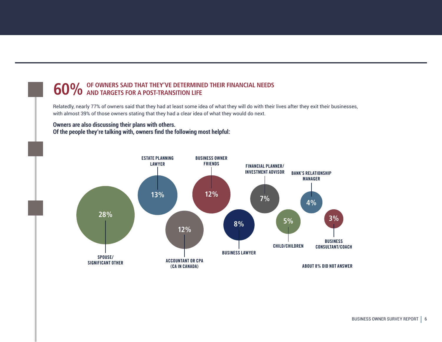# **60%** OF OWNERS SAID THAT THEY'VE DETERMINED THEIR FINANCIAL NEEDS<br>**60%** AND TARGETS FOR A POST-TRANSITION LIFE

Relatedly, nearly 77% of owners said that they had at least some idea of what they will do with their lives after they exit their businesses, with almost 39% of those owners stating that they had a clear idea of what they would do next.

**Owners are also discussing their plans with others. Of the people they're talking with, owners find the following most helpful:**

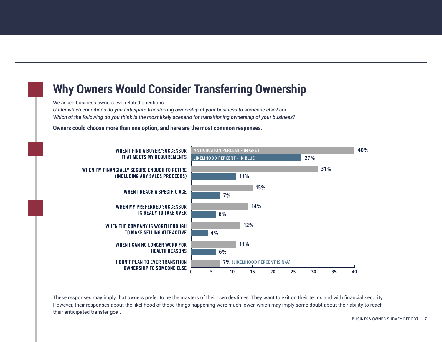## **Why Owners Would Consider Transferring Ownership**

We asked business owners two related questions:

*Under which conditions do you anticipate transferring ownership of your business to someone else?* and *Which of the following do you think is the most likely scenario for transitioning ownership of your business?* 

**Owners could choose more than one option, and here are the most common responses.**



These responses may imply that owners prefer to be the masters of their own destinies: They want to exit on their terms and with financial security. However, their responses about the likelihood of those things happening were much lower, which may imply some doubt about their ability to reach their anticipated transfer goal.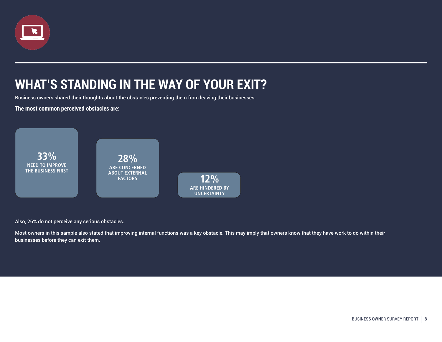

## **WHAT'S STANDING IN THE WAY OF YOUR EXIT?**

Business owners shared their thoughts about the obstacles preventing them from leaving their businesses.

**The most common perceived obstacles are:**



Also, 26% do not perceive any serious obstacles.

Most owners in this sample also stated that improving internal functions was a key obstacle. This may imply that owners know that they have work to do within their businesses before they can exit them.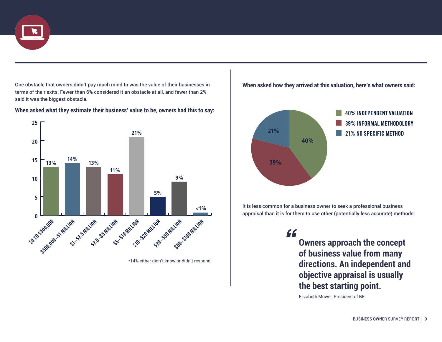

One obstacle that owners didn't pay much mind to was the value of their businesses in terms of their exits. Fewer than 6% considered it an obstacle at all, and fewer than 2% said it was the biggest obstacle.

**When asked what they estimate their business' value to be, owners had this to say:**



\*14% either didn't know or didn't respond.





It is less common for a business owner to seek a professional business appraisal than it is for them to use other (potentially less accurate) methods.

> **Owners approach the concept of business value from many directions. An independent and objective appraisal is usually the best starting point.**  *"*

Elizabeth Mower, President of BEI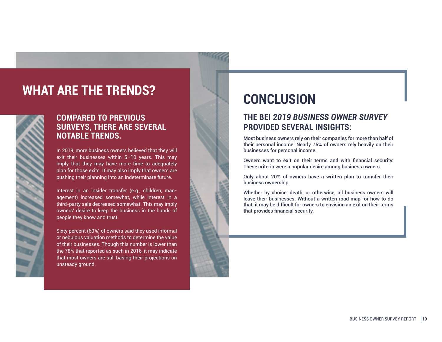## **WHAT ARE THE TRENDS?**

9888

#### **COMPARED TO PREVIOUS SURVEYS, THERE ARE SEVERAL NOTABLE TRENDS.**

In 2019, more business owners believed that they will exit their businesses within 5–10 years. This may imply that they may have more time to adequately plan for those exits. It may also imply that owners are pushing their planning into an indeterminate future.

Interest in an insider transfer (e.g., children, management) increased somewhat, while interest in a third-party sale decreased somewhat. This may imply owners' desire to keep the business in the hands of people they know and trust.

Sixty percent (60%) of owners said they used informal or nebulous valuation methods to determine the value of their businesses. Though this number is lower than the 78% that reported as such in 2016, it may indicate that most owners are still basing their projections on unsteady ground.

## **CONCLUSION**

#### **THE BEI** *2019 BUSINESS OWNER SURVEY* **PROVIDED SEVERAL INSIGHTS:**

Most business owners rely on their companies for more than half of their personal income: Nearly 75% of owners rely heavily on their businesses for personal income.

Owners want to exit on their terms and with financial security: These criteria were a popular desire among business owners.

Only about 20% of owners have a written plan to transfer their business ownership.

Whether by choice, death, or otherwise, all business owners will leave their businesses. Without a written road map for how to do that, it may be difficult for owners to envision an exit on their terms that provides financial security.